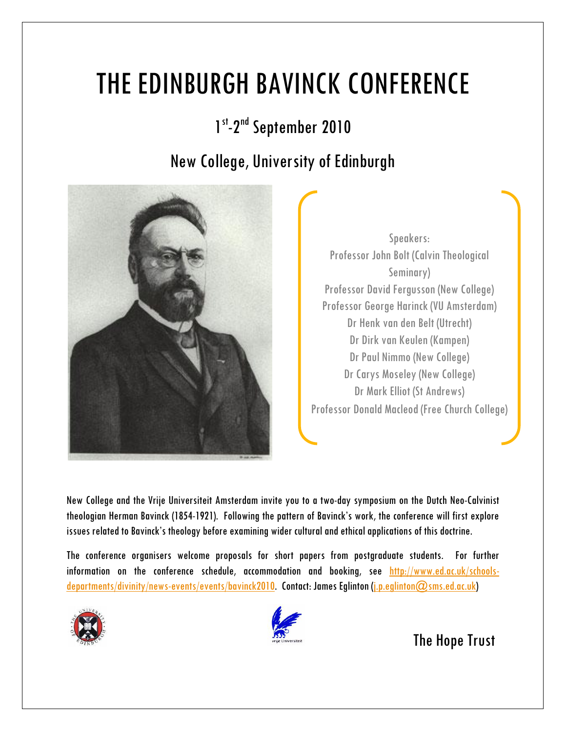## THE EDINBURGH BAVINCK CONFERENCE

1<sup>st</sup>-2<sup>nd</sup> September 2010

## New College, University of Edinburgh



Speakers: Professor John Bolt (Calvin Theological Seminary) Professor David Fergusson (New College) Professor George Harinck (VU Amsterdam) Dr Henk van den Belt (Utrecht) Dr Dirk van Keulen (Kampen) Dr Paul Nimmo (New College) Dr Carys Moseley (New College) Dr Mark Elliot (St Andrews) Professor Donald Macleod (Free Church College)

New College and the Vrije Universiteit Amsterdam invite you to a two-day symposium on the Dutch Neo-Calvinist theologian Herman Bavinck (1854-1921). Following the pattern of Bavinck's work, the conference will first explore issues related to Bavinck's theology before examining wider cultural and ethical applications of this doctrine.

The conference organisers welcome proposals for short papers from postgraduate students. For further information on the conference schedule, accommodation and booking, see [http://www.ed.ac.uk/schools](http://www.ed.ac.uk/schools-departments/divinity/news-events/events/bavinck2010)[departments/divinity/news-events/events/bavinck2010.](http://www.ed.ac.uk/schools-departments/divinity/news-events/events/bavinck2010) Contact: James Eglinton [\(j.p.eglinton@sms.ed.ac.uk\)](mailto:j.p.eglinton@sms.ed.ac.uk)





The Hope Trust